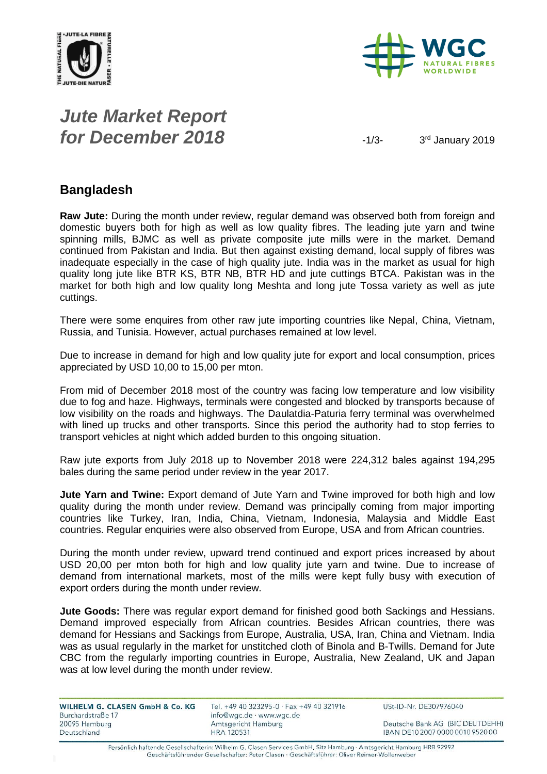



# *Jute Market Report for December 2018*  $\frac{1}{3}$

3rd January 2019

### **Bangladesh**

**Raw Jute:** During the month under review, regular demand was observed both from foreign and domestic buyers both for high as well as low quality fibres. The leading jute yarn and twine spinning mills, BJMC as well as private composite jute mills were in the market. Demand continued from Pakistan and India. But then against existing demand, local supply of fibres was inadequate especially in the case of high quality jute. India was in the market as usual for high quality long jute like BTR KS, BTR NB, BTR HD and jute cuttings BTCA. Pakistan was in the market for both high and low quality long Meshta and long jute Tossa variety as well as jute cuttings.

There were some enquires from other raw jute importing countries like Nepal, China, Vietnam, Russia, and Tunisia. However, actual purchases remained at low level.

Due to increase in demand for high and low quality jute for export and local consumption, prices appreciated by USD 10,00 to 15,00 per mton.

From mid of December 2018 most of the country was facing low temperature and low visibility due to fog and haze. Highways, terminals were congested and blocked by transports because of low visibility on the roads and highways. The Daulatdia-Paturia ferry terminal was overwhelmed with lined up trucks and other transports. Since this period the authority had to stop ferries to transport vehicles at night which added burden to this ongoing situation.

Raw jute exports from July 2018 up to November 2018 were 224,312 bales against 194,295 bales during the same period under review in the year 2017.

**Jute Yarn and Twine:** Export demand of Jute Yarn and Twine improved for both high and low quality during the month under review. Demand was principally coming from major importing countries like Turkey, Iran, India, China, Vietnam, Indonesia, Malaysia and Middle East countries. Regular enquiries were also observed from Europe, USA and from African countries.

During the month under review, upward trend continued and export prices increased by about USD 20,00 per mton both for high and low quality jute yarn and twine. Due to increase of demand from international markets, most of the mills were kept fully busy with execution of export orders during the month under review.

**Jute Goods:** There was regular export demand for finished good both Sackings and Hessians. Demand improved especially from African countries. Besides African countries, there was demand for Hessians and Sackings from Europe, Australia, USA, Iran, China and Vietnam. India was as usual regularly in the market for unstitched cloth of Binola and B-Twills. Demand for Jute CBC from the regularly importing countries in Europe, Australia, New Zealand, UK and Japan was at low level during the month under review.

| WILHELM G. CLASEN GmbH & Co. KG    | Tel. +49 40 323295-0 $\cdot$ Fax +49 40 321916  | USt-ID-Nr. DE307976040           |
|------------------------------------|-------------------------------------------------|----------------------------------|
| Burchardstraße 17<br>20095 Hamburg | info@wgc.de · www.wgc.de<br>Amtsgericht Hamburg | Deutsche Bank AG (BIC DEUTDEHH)  |
| Deutschland                        | <b>HRA 120531</b>                               | IBAN DE10 2007 0000 0010 9520 00 |

Persönlich haftende Gesellschafterin: Wilhelm G. Clasen Services GmbH, Sitz Hamburg · Amtsgericht Hamburg HRB 92992 Geschäftsführender Gesellschafter: Peter Clasen · Geschäftsführer: Oliver Reimer-Wollenweber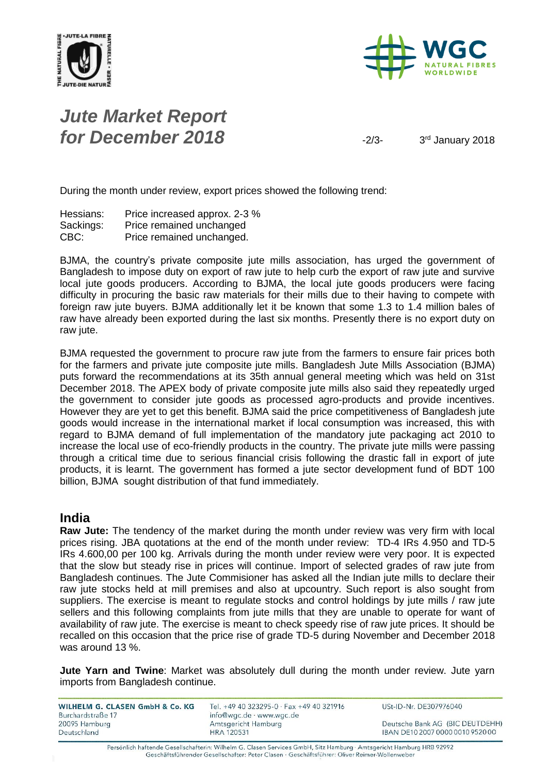



# *Jute Market Report for December 2018*  $\frac{2}{3}$

3rd January 2018

During the month under review, export prices showed the following trend:

| Hessians: | Price increased approx. 2-3 % |
|-----------|-------------------------------|
| Sackings: | Price remained unchanged      |
| CBC:      | Price remained unchanged.     |

BJMA, the country's private composite jute mills association, has urged the government of Bangladesh to impose duty on export of raw jute to help curb the export of raw jute and survive local jute goods producers. According to BJMA, the local jute goods producers were facing difficulty in procuring the basic raw materials for their mills due to their having to compete with foreign raw jute buyers. BJMA additionally let it be known that some 1.3 to 1.4 million bales of raw have already been exported during the last six months. Presently there is no export duty on raw jute.

BJMA requested the government to procure raw jute from the farmers to ensure fair prices both for the farmers and private jute composite jute mills. Bangladesh Jute Mills Association (BJMA) puts forward the recommendations at its 35th annual general meeting which was held on 31st December 2018. The APEX body of private composite jute mills also said they repeatedly urged the government to consider jute goods as processed agro-products and provide incentives. However they are yet to get this benefit. BJMA said the price competitiveness of Bangladesh jute goods would increase in the international market if local consumption was increased, this with regard to BJMA demand of full implementation of the mandatory jute packaging act 2010 to increase the local use of eco-friendly products in the country. The private jute mills were passing through a critical time due to serious financial crisis following the drastic fall in export of jute products, it is learnt. The government has formed a jute sector development fund of BDT 100 billion, BJMA sought distribution of that fund immediately.

#### **India**

**Raw Jute:** The tendency of the market during the month under review was very firm with local prices rising. JBA quotations at the end of the month under review: TD-4 IRs 4.950 and TD-5 IRs 4.600,00 per 100 kg. Arrivals during the month under review were very poor. It is expected that the slow but steady rise in prices will continue. Import of selected grades of raw jute from Bangladesh continues. The Jute Commisioner has asked all the Indian jute mills to declare their raw jute stocks held at mill premises and also at upcountry. Such report is also sought from suppliers. The exercise is meant to regulate stocks and control holdings by jute mills / raw jute sellers and this following complaints from jute mills that they are unable to operate for want of availability of raw jute. The exercise is meant to check speedy rise of raw jute prices. It should be recalled on this occasion that the price rise of grade TD-5 during November and December 2018 was around 13 %.

**Jute Yarn and Twine**: Market was absolutely dull during the month under review. Jute yarn imports from Bangladesh continue.

| WILHELM G. CLASEN GmbH & Co. KG | Tel. +49 40 323295-0 · Fax +49 40 321916 | USt-ID-Nr. DE307976040           |
|---------------------------------|------------------------------------------|----------------------------------|
| Burchardstraße 17               | info@wgc.de · www.wgc.de                 |                                  |
| 20095 Hamburg                   | Amtsgericht Hamburg                      | Deutsche Bank AG (BIC DEUTDEHH)  |
| Deutschland                     | <b>HRA 120531</b>                        | IBAN DE10 2007 0000 0010 9520 00 |

Persönlich haftende Gesellschafterin: Wilhelm G. Clasen Services GmbH, Sitz Hamburg · Amtsgericht Hamburg HRB 92992 Geschäftsführender Gesellschafter: Peter Clasen · Geschäftsführer: Oliver Reimer-Wollenweber